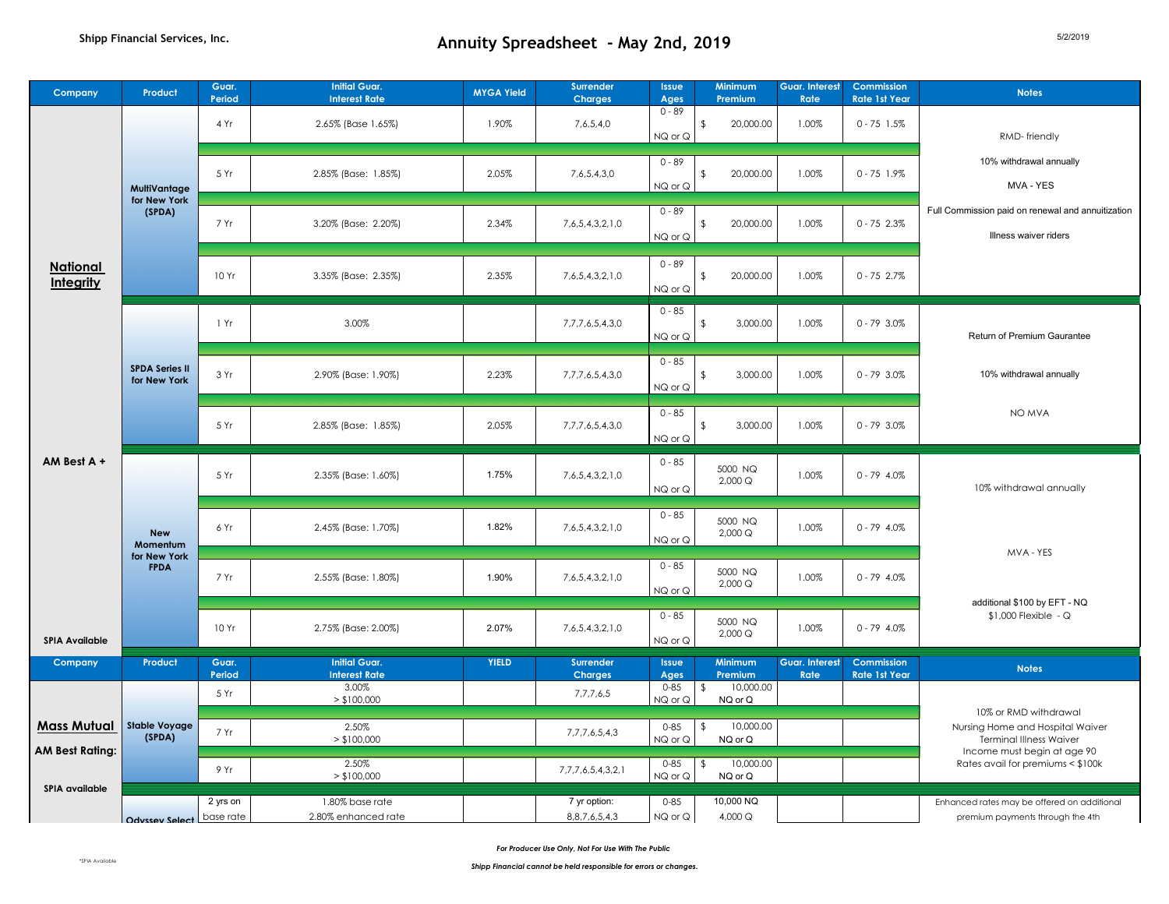| Company                               | Product                                               | Guar.<br>Period       | <b>Initial Guar.</b><br><b>Interest Rate</b> | <b>MYGA Yield</b> | <b>Surrender</b><br><b>Charges</b>  | <b>Issue</b><br>Ages | Minimum<br>Premium                     | Guar. Interest<br>Rate        | Commission<br><b>Rate 1st Year</b> | <b>Notes</b>                                                                                |
|---------------------------------------|-------------------------------------------------------|-----------------------|----------------------------------------------|-------------------|-------------------------------------|----------------------|----------------------------------------|-------------------------------|------------------------------------|---------------------------------------------------------------------------------------------|
|                                       |                                                       | 4 Yr                  | 2.65% (Base 1.65%)                           | 1.90%             | 7,6,5,4,0                           | $0 - 89$<br>NQ or Q  | 20,000.00<br>$\sqrt{2}$                | 1.00%                         | $0 - 75$ 1.5%                      | RMD-friendly                                                                                |
|                                       | <b>MultiVantage</b><br>for New York<br>(SPDA)         | 5 Yr                  | 2.85% (Base: 1.85%)                          | 2.05%             | 7,6,5,4,3,0                         | $0 - 89$<br>NQ or Q  | 20,000.00<br>\$                        | 1.00%                         | $0 - 75$ 1.9%                      | 10% withdrawal annually<br>MVA - YES                                                        |
|                                       |                                                       | 7 Yr                  | 3.20% (Base: 2.20%)                          | 2.34%             | 7,6,5,4,3,2,1,0                     | $0 - 89$<br>NQ or Q  | 20,000.00<br>\$                        | 1.00%                         | $0 - 75$ 2.3%                      | Full Commission paid on renewal and annuitization<br>Illness waiver riders                  |
| <b>National</b><br>Integrity          |                                                       | 10 Yr                 | 3.35% (Base: 2.35%)                          | 2.35%             | 7,6,5,4,3,2,1,0                     | $0 - 89$<br>NQ or Q  | $\sqrt{2}$<br>20,000.00                | 1.00%                         | $0 - 752.7%$                       |                                                                                             |
|                                       | <b>SPDA Series II</b><br>for New York                 | 1 Yr                  | 3.00%                                        |                   | 7,7,7,6,5,4,3,0                     | $0 - 85$<br>NQ or Q  | 3,000.00<br>\$                         | 1.00%                         | $0 - 79$ 3.0%                      | <b>Return of Premium Gaurantee</b>                                                          |
|                                       |                                                       | 3 Yr                  | 2.90% (Base: 1.90%)                          | 2.23%             | 7,7,7,6,5,4,3,0                     | $0 - 85$<br>NQ or Q  | 3,000.00<br>\$                         | 1.00%                         | $0 - 79$ 3.0%                      | 10% withdrawal annually                                                                     |
|                                       |                                                       | 5 Yr                  | 2.85% (Base: 1.85%)                          | 2.05%             | 7,7,7,6,5,4,3,0                     | $0 - 85$<br>NQ or Q  | 3,000.00<br>\$                         | 1.00%                         | $0 - 79$ 3.0%                      | NO MVA                                                                                      |
| $AM Best A +$                         | <b>New</b><br>Momentum<br>for New York<br><b>FPDA</b> | 5 Yr                  | 2.35% (Base: 1.60%)                          | 1.75%             | 7,6,5,4,3,2,1,0                     | $0 - 85$<br>NQ or Q  | 5000 NQ<br>2,000 Q                     | 1.00%                         | $0 - 79$ 4.0%                      | 10% withdrawal annually                                                                     |
|                                       |                                                       | 6 Yr                  | 2.45% (Base: 1.70%)                          | 1.82%             | 7,6,5,4,3,2,1,0                     | $0 - 85$<br>NQ or Q  | 5000 NQ<br>2,000 Q                     | 1.00%                         | $0 - 79$ 4.0%                      | MVA - YES                                                                                   |
|                                       |                                                       | 7 Yr                  | 2.55% (Base: 1.80%)                          | 1.90%             | 7,6,5,4,3,2,1,0                     | $0 - 85$<br>NQ or Q  | 5000 NQ<br>2,000 Q                     | 1.00%                         | $0 - 79$ 4.0%                      | additional \$100 by EFT - NQ                                                                |
| <b>SPIA Available</b>                 |                                                       | 10 Yr                 | 2.75% (Base: 2.00%)                          | 2.07%             | 7,6,5,4,3,2,1,0                     | $0 - 85$<br>NQ or Q  | 5000 NQ<br>2.000 Q                     | 1.00%                         | $0 - 79$ 4.0%                      | \$1,000 Flexible - Q                                                                        |
| Company                               | Product                                               | Guar.<br>Period       | <b>Initial Guar.</b><br><b>Interest Rate</b> | <b>YIELD</b>      | <b>Surrender</b><br><b>Charges</b>  | <b>Issue</b><br>Ages | <b>Minimum</b><br>Premium              | <b>Guar. Interest</b><br>Rate | Commission<br><b>Rate 1st Year</b> | <b>Notes</b>                                                                                |
|                                       |                                                       | 5 Yr                  | 3.00%<br>> \$100,000                         |                   | 7,7,7,6,5                           | $0 - 85$<br>NQ or Q  | 10,000.00<br>\$<br>NQ or Q             |                               |                                    |                                                                                             |
| Mass Mutual<br><b>AM Best Rating:</b> | <b>Stable Voyage</b><br>(SPDA)                        | 7 Yr                  | 2.50%<br>> \$100,000                         |                   | 7,7,7,6,5,4,3                       | $0 - 85$<br>NQ or Q  | 10,000.00<br>\$<br>NQ or Q             |                               |                                    | 10% or RMD withdrawal<br>Nursing Home and Hospital Waiver<br><b>Terminal Illness Waiver</b> |
|                                       |                                                       | 9 Yr                  | 2.50%<br>> \$100,000                         |                   | 7,7,7,6,5,4,3,2,1                   | $0 - 85$<br>NQ or Q  | $\mathfrak{L}$<br>10,000.00<br>NQ or Q |                               |                                    | Income must begin at age 90<br>Rates avail for premiums < \$100k                            |
| <b>SPIA</b> available                 | Odyssey Select                                        | 2 yrs on<br>base rate | 1.80% base rate<br>2.80% enhanced rate       |                   | 7 yr option:<br>8, 8, 7, 6, 5, 4, 3 | $0 - 85$<br>NQ or Q  | 10,000 NQ<br>4,000 Q                   |                               |                                    | Enhanced rates may be offered on additional<br>premium payments through the 4th             |

*For Producer Use Only, Not For Use With The Public*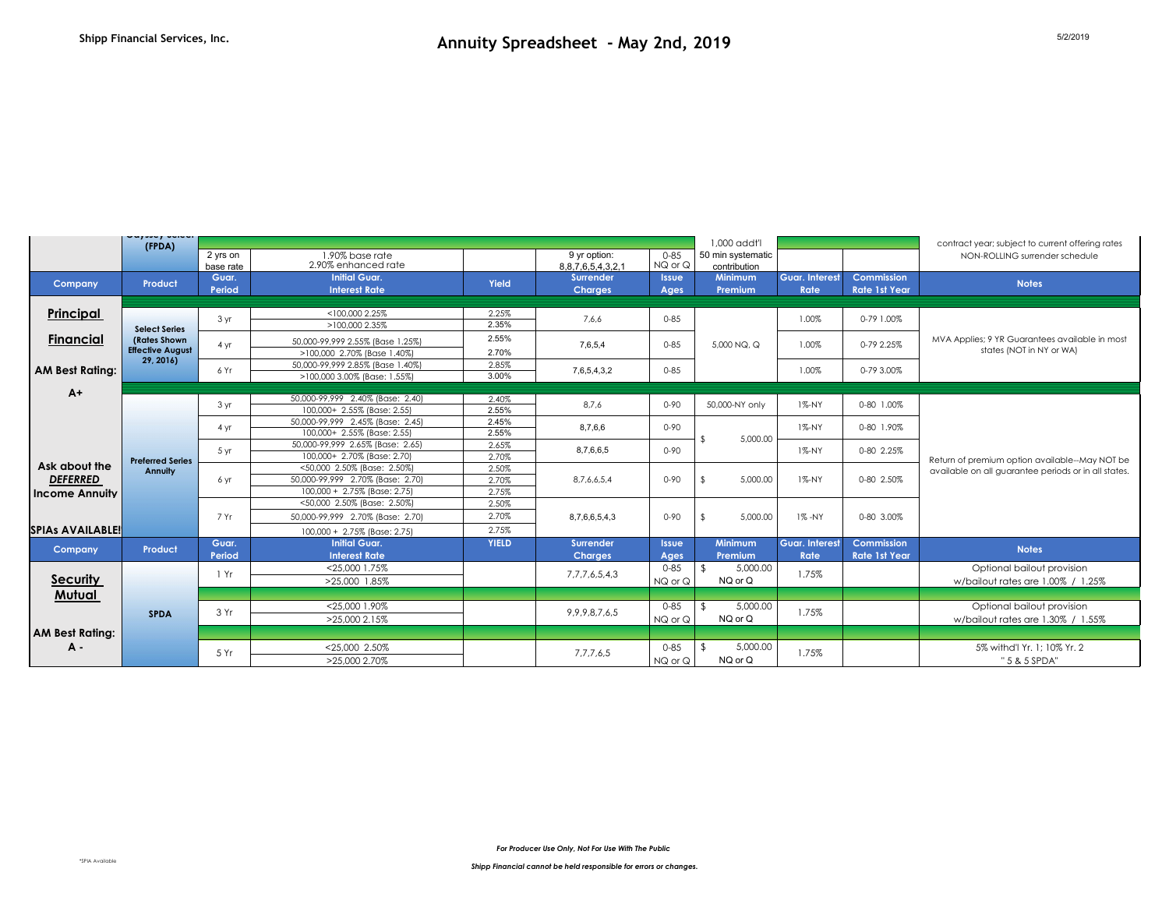|                                          | wajaay aanaan<br>(FPDA)                                          |                       |                                                                  |                                                                 |                                    |                      | 1,000 addt'l                      |                               |                                    | contract year; subject to current offering rates                |
|------------------------------------------|------------------------------------------------------------------|-----------------------|------------------------------------------------------------------|-----------------------------------------------------------------|------------------------------------|----------------------|-----------------------------------|-------------------------------|------------------------------------|-----------------------------------------------------------------|
|                                          |                                                                  | 2 yrs on<br>base rate | 1.90% base rate<br>2.90% enhanced rate                           |                                                                 | 9 yr option:<br>8,8,7,6,5,4,3,2,1  | $0 - 85$<br>NQ or Q  | 50 min systematic<br>contribution |                               |                                    | NON-ROLLING surrender schedule                                  |
| Company                                  | Product                                                          | Guar.<br>Period       | <b>Initial Guar.</b><br><b>Interest Rate</b>                     | Yield                                                           | <b>Surrender</b><br><b>Charges</b> | <b>Issue</b><br>Ages | <b>Minimum</b><br>Premium         | <b>Guar. Interest</b><br>Rate | Commission<br><b>Rate 1st Year</b> | <b>Notes</b>                                                    |
| Principal                                |                                                                  | 3 <sub>yr</sub>       | <100.000 2.25%                                                   | 2.25%                                                           | 7,6,6                              | $0 - 85$             |                                   | 1.00%                         | 0-79 1.00%                         |                                                                 |
|                                          | <b>Select Series</b><br>(Rates Shown)<br><b>Effective August</b> |                       | >100,000 2.35%                                                   | 2.35%                                                           |                                    |                      |                                   |                               |                                    |                                                                 |
| Financial                                |                                                                  |                       | 4 yr                                                             | 50,000-99,999 2.55% (Base 1.25%)<br>>100,000 2.70% (Base 1.40%) | 2.55%<br>2.70%                     | 7,6,5,4              | $0 - 85$                          | 5,000 NQ, Q                   | 1.00%                              | 0-79 2.25%                                                      |
| <b>AM Best Ratina:</b>                   | 29, 2016                                                         | 6 Yr                  | 50.000-99.999 2.85% (Base 1.40%)<br>>100,000 3.00% (Base: 1.55%) | 2.85%<br>3.00%                                                  | 7,6,5,4,3,2                        | $0 - 85$             |                                   | 1.00%                         | 0-79 3.00%                         |                                                                 |
| $A+$                                     |                                                                  |                       |                                                                  |                                                                 |                                    |                      |                                   |                               |                                    |                                                                 |
|                                          |                                                                  | 3 yr                  | 50,000-99,999 2.40% (Base: 2.40)<br>100.000+ 2.55% (Base: 2.55)  | 2.40%<br>2.55%                                                  | 8,7,6                              | $0 - 90$             | 50,000-NY only                    | $1\% - NY$                    | 0-80 1.00%                         |                                                                 |
|                                          |                                                                  | 4 yr                  | 50.000-99.999 2.45% (Base: 2.45)<br>100,000+ 2.55% (Base: 2.55)  | 2.45%<br>2.55%                                                  | 8,7,6,6                            | $0 - 90$             |                                   | $1\% - NY$                    | 0-80 1.90%                         |                                                                 |
|                                          | <b>Preferred Series</b><br>Annuity                               | 5 yr                  | 50,000-99,999 2.65% (Base: 2.65)<br>100,000+ 2.70% (Base: 2.70)  | 2.65%<br>2.70%                                                  | 8,7,6,6,5                          | $0 - 90$             | 5,000.00                          | $1\% - NY$                    | 0-80 2.25%                         |                                                                 |
| Ask about the                            |                                                                  |                       |                                                                  | <50,000 2.50% (Base: 2.50%)                                     | 2.50%                              |                      |                                   |                               |                                    |                                                                 |
| <b>DEFERRED</b><br><b>Income Annuity</b> |                                                                  | 6 yr                  | 50.000-99.999 2.70% (Base: 2.70)<br>100,000 + 2.75% (Base: 2.75) | 2.70%<br>2.75%                                                  | 8.7.6.6.5.4                        | $0 - 90$             | 5,000.00                          | 1%-NY                         | 0-80 2.50%                         |                                                                 |
|                                          |                                                                  | 7 Yr                  | <50,000 2.50% (Base: 2.50%)<br>50,000-99,999 2.70% (Base: 2.70)  | 2.50%<br>2.70%                                                  | 8,7,6,6,5,4,3                      | $0 - 90$             | 5,000.00                          | 1%-NY                         | 0-80 3.00%                         |                                                                 |
| <b>SPIAs AVAILABLE!</b>                  |                                                                  |                       | 100,000 + 2.75% (Base: 2.75)                                     | 2.75%                                                           |                                    |                      |                                   |                               |                                    |                                                                 |
| Company                                  | Product                                                          | Guar.<br>Period       | <b>Initial Guar.</b><br><b>Interest Rate</b>                     | <b>YIELD</b>                                                    | <b>Surrender</b><br><b>Charges</b> | <b>Issue</b><br>Ages | <b>Minimum</b><br>Premium         | <b>Guar, Interest</b><br>Rate | Commission<br><b>Rate 1st Year</b> | <b>Notes</b>                                                    |
| <b>Security</b>                          |                                                                  | 1 Yr                  | <25,000 1.75%<br>>25,000 1.85%                                   |                                                                 | 7, 7, 7, 6, 5, 4, 3                | $0 - 85$<br>NQ or Q  | 5,000.00<br>NQ or Q               | 1.75%                         |                                    | Optional bailout provision<br>w/bailout rates are 1.00% / 1.25% |
| Mutual                                   |                                                                  |                       |                                                                  |                                                                 |                                    |                      |                                   |                               |                                    |                                                                 |
|                                          | <b>SPDA</b>                                                      | 3 Yr                  | <25,000 1.90%<br>>25,000 2.15%                                   |                                                                 | 9, 9, 9, 8, 7, 6, 5                | $0 - 85$<br>NQ or Q  | 5,000,00<br>NQ or Q               | 1.75%                         |                                    | Optional bailout provision<br>w/bailout rates are 1.30% / 1.55% |
| <b>AM Best Rating:</b>                   |                                                                  |                       |                                                                  |                                                                 |                                    |                      |                                   |                               |                                    |                                                                 |
| A -                                      |                                                                  | 5 Yr                  | <25,000 2.50%<br>>25,000 2.70%                                   |                                                                 | 7,7,7,6,5                          | $0 - 85$<br>NQ or Q  | 5,000.00<br>NQ or Q               | 1.75%                         |                                    | 5% withd'l Yr. 1; 10% Yr. 2<br>" 5 & 5 SPDA"                    |